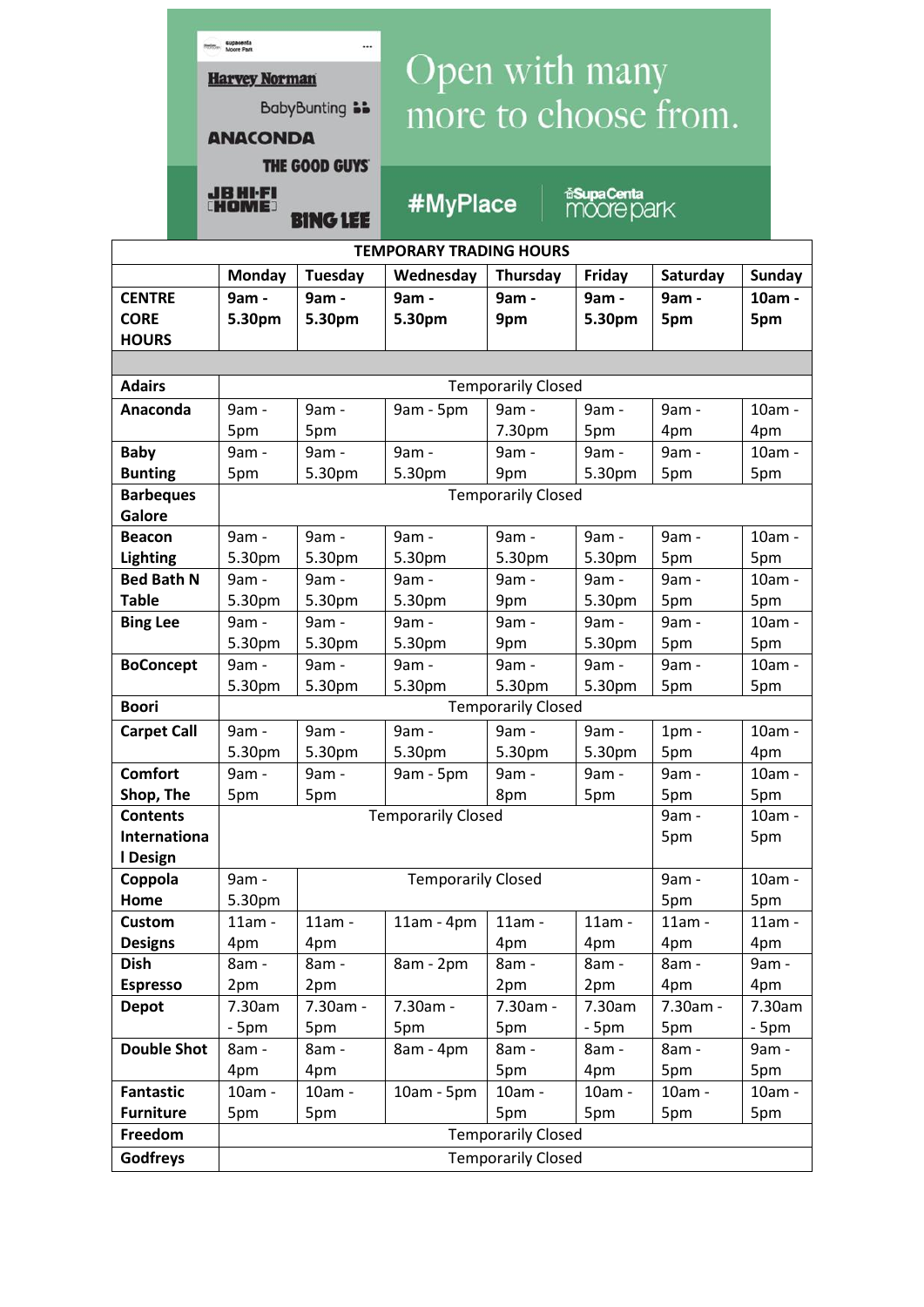|                                                                                          |  | <b>Roofer Supacenta</b><br><br><b>Harvey Norman</b> |                       | Open with many            |                           |                                  |              |        |  |
|------------------------------------------------------------------------------------------|--|-----------------------------------------------------|-----------------------|---------------------------|---------------------------|----------------------------------|--------------|--------|--|
|                                                                                          |  |                                                     |                       |                           |                           |                                  |              |        |  |
|                                                                                          |  | <b>BabyBunting is</b>                               |                       | more to choose from.      |                           |                                  |              |        |  |
|                                                                                          |  | <b>ANACONDA</b>                                     |                       |                           |                           |                                  |              |        |  |
|                                                                                          |  |                                                     |                       |                           |                           |                                  |              |        |  |
|                                                                                          |  |                                                     | <b>THE GOOD GUYS'</b> |                           |                           |                                  |              |        |  |
|                                                                                          |  | <b>JBHI-FI</b><br><b>CHOME</b>                      | <b>BING LEE</b>       | #MyPlace                  |                           | <b>fiSupaCenta</b><br>moore park |              |        |  |
| <b>TEMPORARY TRADING HOURS</b>                                                           |  |                                                     |                       |                           |                           |                                  |              |        |  |
| <b>Monday</b><br>Tuesday<br>Wednesday<br>Thursday<br>Saturday<br><b>Sunday</b><br>Friday |  |                                                     |                       |                           |                           |                                  |              |        |  |
| <b>CENTRE</b>                                                                            |  | 9am -                                               | 9am -                 | 9am -                     | 9am -                     | 9am -                            | 9am -        | 10am - |  |
| <b>CORE</b>                                                                              |  | 5.30pm                                              | 5.30pm                | 5.30pm                    | 9pm                       | 5.30pm                           | 5pm          | 5pm    |  |
| <b>HOURS</b>                                                                             |  |                                                     |                       |                           |                           |                                  |              |        |  |
|                                                                                          |  |                                                     |                       |                           |                           |                                  |              |        |  |
| <b>Adairs</b>                                                                            |  |                                                     |                       |                           | <b>Temporarily Closed</b> |                                  |              |        |  |
| Anaconda                                                                                 |  | 9am -                                               | 9am -                 | 9am - 5pm                 | 9am -                     | 9am -                            | 9am -        | 10am - |  |
|                                                                                          |  | 5pm                                                 | 5pm                   |                           | 7.30pm                    | 5pm                              | 4pm          | 4pm    |  |
| <b>Baby</b>                                                                              |  | 9am -                                               | 9am -                 | 9am -                     | 9am -                     | 9am -                            | 9am -        | 10am - |  |
| <b>Bunting</b>                                                                           |  | 5pm                                                 | 5.30pm                | 5.30pm                    | 9pm                       | 5.30pm                           | 5pm          | 5pm    |  |
| <b>Barbeques</b><br>Galore                                                               |  | <b>Temporarily Closed</b>                           |                       |                           |                           |                                  |              |        |  |
| <b>Beacon</b>                                                                            |  | 9am -                                               | 9am -                 | 9am -                     | 9am -                     | 9am -                            | 9am -        | 10am - |  |
| <b>Lighting</b>                                                                          |  | 5.30pm                                              | 5.30pm                | 5.30pm                    | 5.30pm                    | 5.30pm                           | 5pm          | 5pm    |  |
| <b>Bed Bath N</b>                                                                        |  | 9am -                                               | 9am -                 | 9am -                     | 9am -                     | 9am -                            | 9am -        | 10am - |  |
| <b>Table</b>                                                                             |  | 5.30pm                                              | 5.30pm                | 5.30pm                    | 9pm                       | 5.30pm                           | 5pm          | 5pm    |  |
| <b>Bing Lee</b>                                                                          |  | 9am -                                               | 9am -                 | 9am -                     | 9am -                     | 9am -                            | 9am -        | 10am - |  |
|                                                                                          |  | 5.30pm                                              | 5.30pm                | 5.30pm                    | 9pm                       | 5.30pm                           | 5pm          | 5pm    |  |
| <b>BoConcept</b>                                                                         |  | 9am -                                               | 9am -                 | 9am -                     | 9am -                     | 9am -                            | 9am -        | 10am - |  |
|                                                                                          |  | 5.30pm                                              | 5.30pm                | 5.30pm                    | 5.30pm                    | 5.30pm                           | 5pm          | 5pm    |  |
| <b>Boori</b>                                                                             |  |                                                     |                       |                           | <b>Temporarily Closed</b> |                                  |              |        |  |
| <b>Carpet Call</b>                                                                       |  | 9am -                                               | 9am -                 | 9am -                     | 9am -                     | 9am -                            | $1pm$ -      | 10am - |  |
|                                                                                          |  | 5.30pm                                              | 5.30pm                | 5.30pm                    | 5.30pm                    | 5.30pm                           | 5pm          | 4pm    |  |
| <b>Comfort</b>                                                                           |  | 9am -                                               | 9am -                 | 9am - 5pm                 | 9am -<br>8pm              | 9am -<br>5pm                     | 9am -        | 10am - |  |
| Shop, The                                                                                |  | 5pm                                                 | 5pm                   | 5pm                       | 5pm                       |                                  |              |        |  |
| <b>Contents</b>                                                                          |  |                                                     |                       | <b>Temporarily Closed</b> |                           |                                  | 9am -<br>5pm | 10am - |  |
| Internationa                                                                             |  |                                                     |                       |                           |                           |                                  |              | 5pm    |  |
| I Design<br>Coppola                                                                      |  | 9am -                                               |                       | <b>Temporarily Closed</b> |                           |                                  | 9am -        | 10am - |  |
| Home                                                                                     |  | 5.30pm                                              |                       |                           |                           |                                  | 5pm          | 5pm    |  |
| <b>Custom</b>                                                                            |  | 11am -                                              | 11am -                | $11am - 4pm$              | $11am -$                  | 11am -                           | $11am -$     | 11am - |  |
| <b>Designs</b>                                                                           |  | 4pm                                                 | 4pm                   |                           | 4pm                       | 4pm                              | 4pm          | 4pm    |  |
| <b>Dish</b>                                                                              |  | 8am -                                               | 8am -                 | 8am - 2pm                 | 8am -                     | 8am -                            | 8am -        | 9am -  |  |
| <b>Espresso</b>                                                                          |  | 2pm                                                 | 2pm                   |                           | 2pm                       | 2pm                              | 4pm          | 4pm    |  |
| <b>Depot</b>                                                                             |  | 7.30am                                              | 7.30am -              | 7.30am -                  | 7.30am -                  | 7.30am                           | 7.30am -     | 7.30am |  |
|                                                                                          |  | $-5pm$                                              | 5pm                   | 5pm                       | 5pm                       | $-5pm$                           | 5pm          | $-5pm$ |  |
| <b>Double Shot</b>                                                                       |  | 8am -                                               | 8am -                 | 8am - 4pm                 | 8am -                     | 8am -                            | 8am -        | 9am -  |  |
|                                                                                          |  | 4pm                                                 | 4pm                   |                           | 5pm                       | 4pm                              | 5pm          | 5pm    |  |
| <b>Fantastic</b>                                                                         |  | 10am -                                              | 10am -                | 10am - 5pm                | 10am -                    | 10am -                           | 10am -       | 10am - |  |
| <b>Furniture</b>                                                                         |  | 5pm                                                 | 5pm                   |                           | 5pm                       | 5pm                              | 5pm          | 5pm    |  |
| Freedom                                                                                  |  | <b>Temporarily Closed</b>                           |                       |                           |                           |                                  |              |        |  |
| Godfreys                                                                                 |  | <b>Temporarily Closed</b>                           |                       |                           |                           |                                  |              |        |  |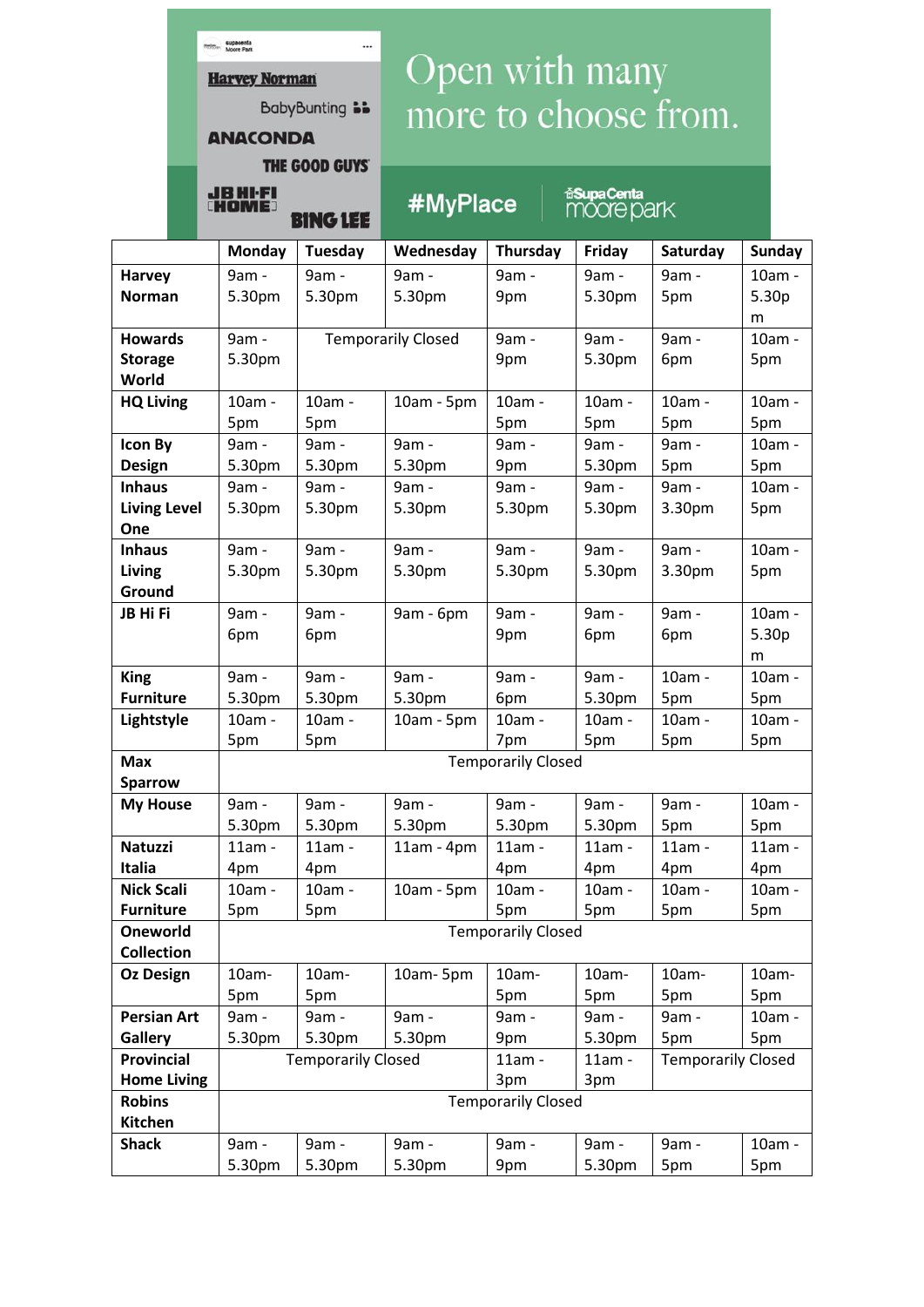| Open with many       |  |  |
|----------------------|--|--|
| more to choose from. |  |  |

**ANACONDA** THE GOOD GUYS

BabyBunting **bb** 

**BING LEE** 

...

**Rolling Supacenta** 

**Harvey Norman** 

HOME

#MyPlace

**inSupaCenta**<br>MOOre park

|                     | <b>Monday</b>                                                                  | <b>Tuesday</b>            | Wednesday    | Thursday | Friday   | Saturday | <b>Sunday</b>     |  |  |
|---------------------|--------------------------------------------------------------------------------|---------------------------|--------------|----------|----------|----------|-------------------|--|--|
| <b>Harvey</b>       | 9am -                                                                          | 9am -                     | 9am -        | 9am -    | 9am -    | 9am -    | 10am -            |  |  |
| <b>Norman</b>       | 5.30pm                                                                         | 5.30pm                    | 5.30pm       | 9pm      | 5.30pm   | 5pm      | 5.30 <sub>p</sub> |  |  |
|                     |                                                                                |                           |              |          |          |          | m                 |  |  |
| <b>Howards</b>      | 9am -                                                                          | <b>Temporarily Closed</b> |              | 9am -    | 9am -    | 9am -    | 10am -            |  |  |
| <b>Storage</b>      | 5.30pm                                                                         |                           |              | 9pm      | 5.30pm   | 6pm      | 5pm               |  |  |
| World               |                                                                                |                           |              |          |          |          |                   |  |  |
| <b>HQ Living</b>    | 10am -                                                                         | 10am -                    | 10am - 5pm   | 10am -   | 10am -   | 10am -   | 10am -            |  |  |
|                     | 5pm                                                                            | 5pm                       |              | 5pm      | 5pm      | 5pm      | 5pm               |  |  |
| <b>Icon By</b>      | 9am -                                                                          | 9am -                     | 9am -        | 9am -    | 9am -    | 9am -    | 10am -            |  |  |
| <b>Design</b>       | 5.30pm                                                                         | 5.30pm                    | 5.30pm       | 9pm      | 5.30pm   | 5pm      | 5pm               |  |  |
| <b>Inhaus</b>       | 9am -                                                                          | 9am -                     | 9am -        | 9am -    | 9am -    | 9am -    | 10am -            |  |  |
| <b>Living Level</b> | 5.30pm                                                                         | 5.30pm                    | 5.30pm       | 5.30pm   | 5.30pm   | 3.30pm   | 5pm               |  |  |
| One                 |                                                                                |                           |              |          |          |          |                   |  |  |
| <b>Inhaus</b>       | 9am -                                                                          | 9am -                     | 9am -        | 9am -    | 9am -    | 9am -    | 10am -            |  |  |
| <b>Living</b>       | 5.30pm                                                                         | 5.30pm                    | 5.30pm       | 5.30pm   | 5.30pm   | 3.30pm   | 5pm               |  |  |
| Ground              |                                                                                |                           |              |          |          |          |                   |  |  |
| JB Hi Fi            | 9am -                                                                          | 9am -                     | 9am - 6pm    | 9am -    | 9am -    | 9am -    | 10am -            |  |  |
|                     | 6pm                                                                            | 6pm                       |              | 9pm      | 6pm      | 6pm      | 5.30 <sub>p</sub> |  |  |
|                     |                                                                                |                           |              |          |          |          | m                 |  |  |
| <b>King</b>         | 9am -                                                                          | 9am -                     | 9am -        | 9am -    | 9am -    | 10am -   | 10am -            |  |  |
| <b>Furniture</b>    | 5.30pm                                                                         | 5.30pm                    | 5.30pm       | 6pm      | 5.30pm   | 5pm      | 5pm               |  |  |
| Lightstyle          | 10am -                                                                         | 10am -                    | 10am - 5pm   | 10am -   | 10am -   | 10am -   | 10am -            |  |  |
|                     | 5pm                                                                            | 5pm                       |              | 7pm      | 5pm      | 5pm      | 5pm               |  |  |
| <b>Max</b>          | <b>Temporarily Closed</b>                                                      |                           |              |          |          |          |                   |  |  |
| <b>Sparrow</b>      |                                                                                |                           |              |          |          |          |                   |  |  |
| <b>My House</b>     | 9am -                                                                          | 9am -                     | 9am -        | 9am -    | 9am -    | 9am -    | 10am -            |  |  |
|                     | 5.30pm                                                                         | 5.30pm                    | 5.30pm       | 5.30pm   | 5.30pm   | 5pm      | 5pm               |  |  |
| <b>Natuzzi</b>      | 11am -                                                                         | 11am -                    | $11am - 4pm$ | 11am -   | $11am -$ | $11am -$ | 11am -            |  |  |
| Italia              | 4pm                                                                            | 4pm                       |              | 4pm      | 4pm      | 4pm      | 4pm               |  |  |
| <b>Nick Scali</b>   | 10am -                                                                         | 10am -                    | 10am - 5pm   | 10am -   | 10am -   | 10am -   | 10am -            |  |  |
| <b>Furniture</b>    | 5pm                                                                            | 5pm                       |              | 5pm      | 5pm      | 5pm      | 5pm               |  |  |
| Oneworld            | <b>Temporarily Closed</b>                                                      |                           |              |          |          |          |                   |  |  |
| <b>Collection</b>   |                                                                                |                           |              |          |          |          |                   |  |  |
| <b>Oz Design</b>    | 10am-                                                                          | 10am-                     | 10am-5pm     | 10am-    | 10am-    | 10am-    | 10am-             |  |  |
|                     | 5pm                                                                            | 5pm                       |              | 5pm      | 5pm      | 5pm      | 5pm               |  |  |
| <b>Persian Art</b>  | 9am -                                                                          | 9am -                     | 9am -        | 9am -    | 9am -    | 9am -    | 10am -            |  |  |
| <b>Gallery</b>      | 5.30pm                                                                         | 5.30pm                    | 5.30pm       | 9pm      | 5.30pm   | 5pm      | 5pm               |  |  |
| Provincial          | <b>Temporarily Closed</b><br>$11am -$<br><b>Temporarily Closed</b><br>$11am -$ |                           |              |          |          |          |                   |  |  |
| <b>Home Living</b>  | 3pm<br>3pm                                                                     |                           |              |          |          |          |                   |  |  |
| <b>Robins</b>       | <b>Temporarily Closed</b>                                                      |                           |              |          |          |          |                   |  |  |
| Kitchen             |                                                                                |                           |              |          |          |          |                   |  |  |
| <b>Shack</b>        | 9am -                                                                          | 9am -                     | 9am -        | 9am -    | 9am -    | 9am -    | 10am -            |  |  |
|                     | 5.30pm                                                                         | 5.30pm                    | 5.30pm       | 9pm      | 5.30pm   | 5pm      | 5pm               |  |  |